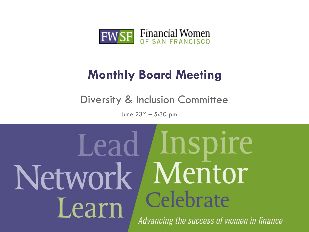

## **Monthly Board Meeting**

Diversity & Inclusion Committee

June  $23^{rd} - 5:30$  pm

# Lead *Inspire* Mentor Network Celebrate Learn Advancing the success of women in finance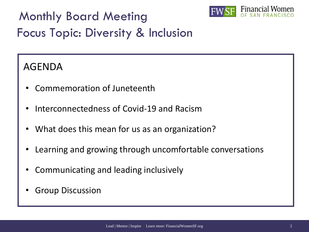Monthly Board Meeting



## Focus Topic: Diversity & Inclusion

### AGENDA

- Commemoration of Juneteenth
- Interconnectedness of Covid-19 and Racism
- What does this mean for us as an organization?
- Learning and growing through uncomfortable conversations
- Communicating and leading inclusively
- **Group Discussion**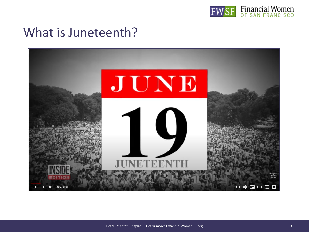

## What is Juneteenth?

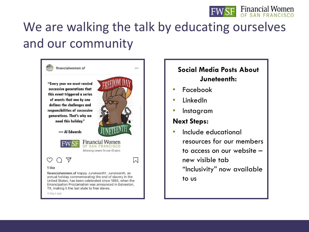

# We are walking the talk by educating ourselves and our community



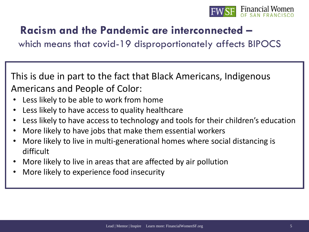

## **Racism and the Pandemic are interconnected –**

which means that covid-19 disproportionately affects BIPOCS

This is due in part to the fact that Black Americans, Indigenous Americans and People of Color:

- Less likely to be able to work from home
- Less likely to have access to quality healthcare
- Less likely to have access to technology and tools for their children's education
- More likely to have jobs that make them essential workers
- More likely to live in multi-generational homes where social distancing is difficult
- More likely to live in areas that are affected by air pollution
- More likely to experience food insecurity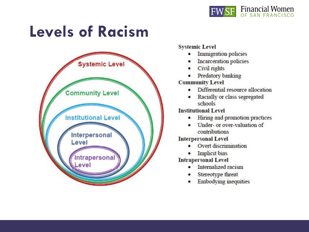

# **Levels of Racism**



### **Systemic Level**

- Immigration policies
- Incarceration policies
- Civil rights
- Predatory banking

### **Community Level**

- Differential resource allocation ٠
- Racially or class segregated schools

### **Institutional Level**

- Hiring and promotion practices
- Under- or over-valuation of contributions

### **Interpersonal Level**

- Overt discrimination
- **Implicit bias**

### **Intrapersonal Level**

- Internalized racism
- Stereotype threat
- **Embodying inequities**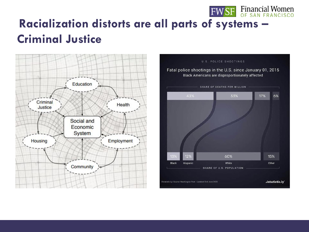# **Racialization distorts are all parts of systems – Criminal Justice**



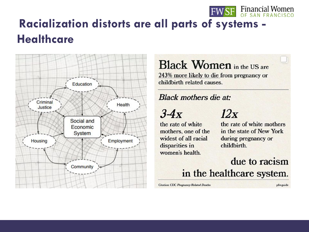

# **Racialization distorts are all parts of systems -Healthcare**



**Black Women** in the US are 243% more likely to die from pregnancy or childbirth related causes.

### **Black mothers die at:**

 $3-4x$ 

the rate of white mothers, one of the widest of all racial disparities in women's health.

## $12x$

the rate of white mothers in the state of New York during pregnancy or childbirth.

due to racism

in the healthcare system.

Citation: CDC Pregnancy-Related Deaths

pfw.guide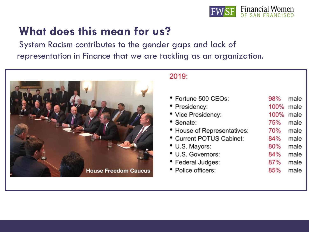

## **What does this mean for us?**

System Racism contributes to the gender gaps and lack of representation in Finance that we are tackling as an organization.



### 2019:

| • Fortune 500 CEOs:         | 98%  | male |
|-----------------------------|------|------|
| • Presidency:               | 100% | male |
| • Vice Presidency:          | 100% | male |
| • Senate:                   | 75%  | male |
| • House of Representatives: | 70%  | male |
| • Current POTUS Cabinet:    | 84%  | male |
| • U.S. Mayors:              | 80%  | male |
| • U.S. Governors:           | 84%  | male |
| • Federal Judges:           | 87%  | male |
| • Police officers:          | 85%  | male |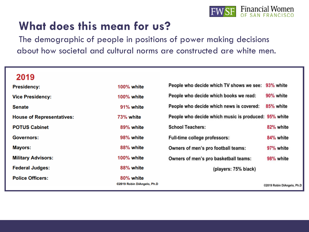

## **What does this mean for us?**

The demographic of people in positions of power making decisions about how societal and cultural norms are constructed are white men.

### 2019

| <b>Presidency:</b>               | <b>100% white</b>                       | People who decide which TV shows we see: 93% white   |                           |
|----------------------------------|-----------------------------------------|------------------------------------------------------|---------------------------|
| <b>Vice Presidency:</b>          | <b>100% white</b>                       | People who decide which books we read:               | 90% white                 |
| <b>Senate</b>                    | 91% white                               | People who decide which news is covered:             | 85% white                 |
| <b>House of Representatives:</b> | 73% white                               | People who decide which music is produced: 95% white |                           |
| <b>POTUS Cabinet</b>             | 89% white                               | <b>School Teachers:</b>                              | 82% white                 |
| Governors:                       | 98% white                               | Full-time college professors:                        | 84% white                 |
| <b>Mayors:</b>                   | 88% white                               | Owners of men's pro football teams:                  | 97% white                 |
| <b>Military Advisors:</b>        | <b>100% white</b>                       | Owners of men's pro basketball teams:                | 98% white                 |
| <b>Federal Judges:</b>           | 88% white                               | (players: 75% black)                                 |                           |
| <b>Police Officers:</b>          | 80% white<br>©2019 Robin DiAngelo, Ph.D |                                                      | @2019 Robin DiAngelo, Ph. |
|                                  |                                         |                                                      |                           |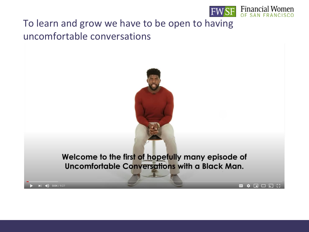

▣ ✿ ◘ □ ۞ ∷

### To learn and grow we have to be open to having uncomfortable conversations

 $| 0.04 / 9.27$ 

Welcome to the first of hopefully many episode of Uncomfortable Conversations with a Black Man.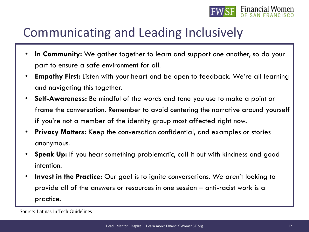

## Communicating and Leading Inclusively

- In Community: We gather together to learn and support one another, so do your part to ensure a safe environment for all.
- **Empathy First:** Listen with your heart and be open to feedback. We're all learning and navigating this together.
- **Self-Awareness:** Be mindful of the words and tone you use to make a point or frame the conversation. Remember to avoid centering the narrative around yourself if you're not a member of the identity group most affected right now.
- **Privacy Matters:** Keep the conversation confidential, and examples or stories anonymous.
- **Speak Up:** If you hear something problematic, call it out with kindness and good intention.
- **Invest in the Practice:** Our goal is to ignite conversations. We aren't looking to provide all of the answers or resources in one session – anti-racist work is a practice.

Source: Latinas in Tech Guidelines